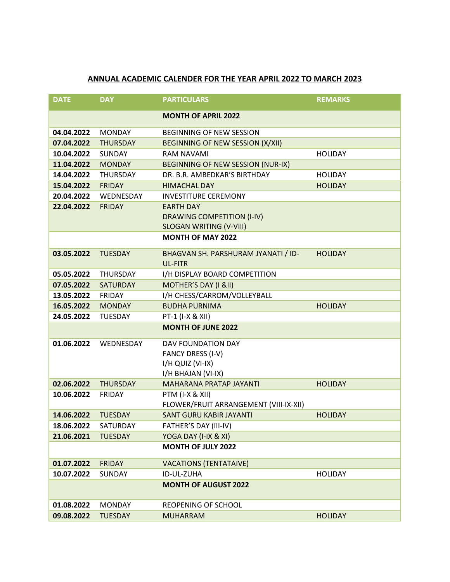## **ANNUAL ACADEMIC CALENDER FOR THE YEAR APRIL 2022 TO MARCH 2023**

| <b>DATE</b> | <b>DAY</b>      | <b>PARTICULARS</b>                                                                       | <b>REMARKS</b> |
|-------------|-----------------|------------------------------------------------------------------------------------------|----------------|
|             |                 | <b>MONTH OF APRIL 2022</b>                                                               |                |
| 04.04.2022  | <b>MONDAY</b>   | <b>BEGINNING OF NEW SESSION</b>                                                          |                |
| 07.04.2022  | <b>THURSDAY</b> | <b>BEGINNING OF NEW SESSION (X/XII)</b>                                                  |                |
| 10.04.2022  | SUNDAY          | <b>RAM NAVAMI</b>                                                                        | <b>HOLIDAY</b> |
| 11.04.2022  | <b>MONDAY</b>   | BEGINNING OF NEW SESSION (NUR-IX)                                                        |                |
| 14.04.2022  | <b>THURSDAY</b> | DR. B.R. AMBEDKAR'S BIRTHDAY                                                             | <b>HOLIDAY</b> |
| 15.04.2022  | <b>FRIDAY</b>   | <b>HIMACHAL DAY</b>                                                                      | <b>HOLIDAY</b> |
| 20.04.2022  | WEDNESDAY       | <b>INVESTITURE CEREMONY</b>                                                              |                |
| 22.04.2022  | <b>FRIDAY</b>   | <b>EARTH DAY</b><br><b>DRAWING COMPETITION (I-IV)</b><br><b>SLOGAN WRITING (V-VIII)</b>  |                |
|             |                 | <b>MONTH OF MAY 2022</b>                                                                 |                |
| 03.05.2022  | <b>TUESDAY</b>  | BHAGVAN SH. PARSHURAM JYANATI / ID-<br>UL-FITR                                           | <b>HOLIDAY</b> |
| 05.05.2022  | <b>THURSDAY</b> | I/H DISPLAY BOARD COMPETITION                                                            |                |
| 07.05.2022  | <b>SATURDAY</b> | MOTHER'S DAY (I &II)                                                                     |                |
| 13.05.2022  | <b>FRIDAY</b>   | I/H CHESS/CARROM/VOLLEYBALL                                                              |                |
| 16.05.2022  | <b>MONDAY</b>   | <b>BUDHA PURNIMA</b>                                                                     | <b>HOLIDAY</b> |
| 24.05.2022  | <b>TUESDAY</b>  | PT-1 (I-X & XII)                                                                         |                |
|             |                 | <b>MONTH OF JUNE 2022</b>                                                                |                |
| 01.06.2022  | WEDNESDAY       | <b>DAV FOUNDATION DAY</b><br>FANCY DRESS (I-V)<br>I/H QUIZ (VI-IX)<br>I/H BHAJAN (VI-IX) |                |
| 02.06.2022  | <b>THURSDAY</b> | MAHARANA PRATAP JAYANTI                                                                  | <b>HOLIDAY</b> |
| 10.06.2022  | <b>FRIDAY</b>   | PTM (I-X & XII)<br>FLOWER/FRUIT ARRANGEMENT (VIII-IX-XII)                                |                |
| 14.06.2022  | <b>TUESDAY</b>  | <b>SANT GURU KABIR JAYANTI</b>                                                           | <b>HOLIDAY</b> |
| 18.06.2022  | SATURDAY        | FATHER'S DAY (III-IV)                                                                    |                |
| 21.06.2021  | <b>TUESDAY</b>  | YOGA DAY (I-IX & XI)                                                                     |                |
|             |                 | <b>MONTH OF JULY 2022</b>                                                                |                |
| 01.07.2022  | <b>FRIDAY</b>   | <b>VACATIONS (TENTATAIVE)</b>                                                            |                |
| 10.07.2022  | <b>SUNDAY</b>   | ID-UL-ZUHA                                                                               | <b>HOLIDAY</b> |
|             |                 | <b>MONTH OF AUGUST 2022</b>                                                              |                |
| 01.08.2022  | <b>MONDAY</b>   | REOPENING OF SCHOOL                                                                      |                |
| 09.08.2022  | <b>TUESDAY</b>  | <b>MUHARRAM</b>                                                                          | <b>HOLIDAY</b> |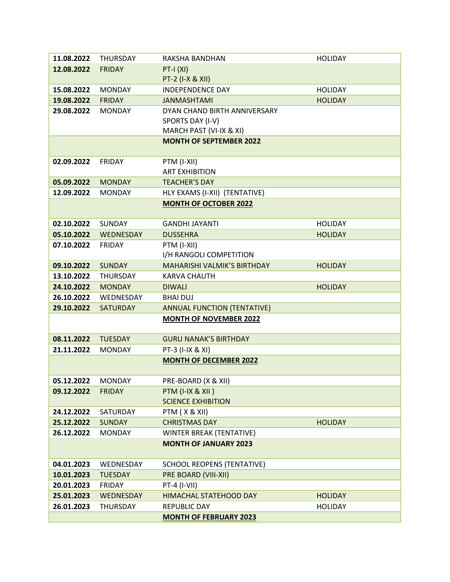| 11.08.2022 | <b>THURSDAY</b> | RAKSHA BANDHAN                     | <b>HOLIDAY</b> |
|------------|-----------------|------------------------------------|----------------|
| 12.08.2022 | <b>FRIDAY</b>   | $PT-I(XI)$                         |                |
|            |                 | PT-2 (I-X & XII)                   |                |
| 15.08.2022 | <b>MONDAY</b>   | <b>INDEPENDENCE DAY</b>            | <b>HOLIDAY</b> |
| 19.08.2022 | <b>FRIDAY</b>   | <b>JANMASHTAMI</b>                 | <b>HOLIDAY</b> |
| 29.08.2022 | <b>MONDAY</b>   | DYAN CHAND BIRTH ANNIVERSARY       |                |
|            |                 | SPORTS DAY (I-V)                   |                |
|            |                 | MARCH PAST (VI-IX & XI)            |                |
|            |                 | <b>MONTH OF SEPTEMBER 2022</b>     |                |
|            |                 |                                    |                |
| 02.09.2022 | <b>FRIDAY</b>   | PTM (I-XII)                        |                |
|            |                 | <b>ART EXHIBITION</b>              |                |
| 05.09.2022 | <b>MONDAY</b>   | <b>TEACHER'S DAY</b>               |                |
| 12.09.2022 | <b>MONDAY</b>   | HLY EXAMS (I-XII) (TENTATIVE)      |                |
|            |                 | <b>MONTH OF OCTOBER 2022</b>       |                |
|            |                 |                                    |                |
| 02.10.2022 | <b>SUNDAY</b>   | <b>GANDHI JAYANTI</b>              | <b>HOLIDAY</b> |
| 05.10.2022 | WEDNESDAY       | <b>DUSSEHRA</b>                    | <b>HOLIDAY</b> |
| 07.10.2022 | <b>FRIDAY</b>   | PTM (I-XII)                        |                |
|            |                 | I/H RANGOLI COMPETITION            |                |
| 09.10.2022 | <b>SUNDAY</b>   | <b>MAHARISHI VALMIK'S BIRTHDAY</b> | <b>HOLIDAY</b> |
| 13.10.2022 | <b>THURSDAY</b> | <b>KARVA CHAUTH</b>                |                |
| 24.10.2022 | <b>MONDAY</b>   | <b>DIWALI</b>                      | <b>HOLIDAY</b> |
| 26.10.2022 | WEDNESDAY       | <b>BHAI DUJ</b>                    |                |
| 29.10.2022 | <b>SATURDAY</b> | <b>ANNUAL FUNCTION (TENTATIVE)</b> |                |
|            |                 | <b>MONTH OF NOVEMBER 2022</b>      |                |
| 08.11.2022 | <b>TUESDAY</b>  | <b>GURU NANAK'S BIRTHDAY</b>       |                |
| 21.11.2022 | <b>MONDAY</b>   | PT-3 (I-IX & XI)                   |                |
|            |                 | <b>MONTH OF DECEMBER 2022</b>      |                |
|            |                 |                                    |                |
| 05.12.2022 | <b>MONDAY</b>   | PRE-BOARD (X & XII)                |                |
| 09.12.2022 | <b>FRIDAY</b>   | PTM (I-IX & XII)                   |                |
|            |                 | <b>SCIENCE EXHIBITION</b>          |                |
| 24.12.2022 | SATURDAY        | PTM (X & XII)                      |                |
| 25.12.2022 | <b>SUNDAY</b>   | <b>CHRISTMAS DAY</b>               | <b>HOLIDAY</b> |
| 26.12.2022 | <b>MONDAY</b>   | WINTER BREAK (TENTATIVE)           |                |
|            |                 | <b>MONTH OF JANUARY 2023</b>       |                |
|            |                 |                                    |                |
| 04.01.2023 | WEDNESDAY       | <b>SCHOOL REOPENS (TENTATIVE)</b>  |                |
| 10.01.2023 | <b>TUESDAY</b>  | PRE BOARD (VIII-XII)               |                |
| 20.01.2023 | <b>FRIDAY</b>   | PT-4 (I-VII)                       |                |
| 25.01.2023 | WEDNESDAY       | <b>HIMACHAL STATEHOOD DAY</b>      | <b>HOLIDAY</b> |
| 26.01.2023 | <b>THURSDAY</b> | REPUBLIC DAY                       | <b>HOLIDAY</b> |
|            |                 | <b>MONTH OF FEBRUARY 2023</b>      |                |